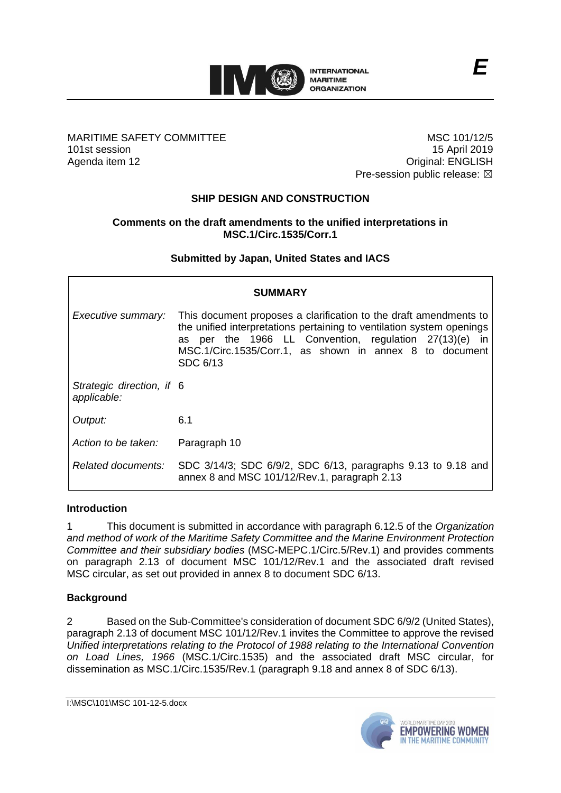

### MARITIME SAFETY COMMITTEE 101st session Agenda item 12

MSC 101/12/5 15 April 2019 Original: ENGLISH Pre-session public release:  $\boxtimes$ 

# **SHIP DESIGN AND CONSTRUCTION**

### **Comments on the draft amendments to the unified interpretations in MSC.1/Circ.1535/Corr.1**

## **Submitted by Japan, United States and IACS**

| <b>SUMMARY</b>                           |                                                                                                                                                                                                                                                                             |
|------------------------------------------|-----------------------------------------------------------------------------------------------------------------------------------------------------------------------------------------------------------------------------------------------------------------------------|
| Executive summary:                       | This document proposes a clarification to the draft amendments to<br>the unified interpretations pertaining to ventilation system openings<br>as per the 1966 LL Convention, regulation 27(13)(e) in<br>MSC.1/Circ.1535/Corr.1, as shown in annex 8 to document<br>SDC 6/13 |
| Strategic direction, if 6<br>applicable: |                                                                                                                                                                                                                                                                             |
| Output:                                  | 6.1                                                                                                                                                                                                                                                                         |
| Action to be taken:                      | Paragraph 10                                                                                                                                                                                                                                                                |
| Related documents:                       | SDC 3/14/3; SDC 6/9/2, SDC 6/13, paragraphs 9.13 to 9.18 and<br>annex 8 and MSC 101/12/Rev.1, paragraph 2.13                                                                                                                                                                |

#### **Introduction**

1 This document is submitted in accordance with paragraph 6.12.5 of the *Organization and method of work of the Maritime Safety Committee and the Marine Environment Protection Committee and their subsidiary bodies* (MSC-MEPC.1/Circ.5/Rev.1) and provides comments on paragraph 2.13 of document MSC 101/12/Rev.1 and the associated draft revised MSC circular, as set out provided in annex 8 to document SDC 6/13.

#### **Background**

2 Based on the Sub-Committee's consideration of document SDC 6/9/2 (United States), paragraph 2.13 of document MSC 101/12/Rev.1 invites the Committee to approve the revised *Unified interpretations relating to the Protocol of 1988 relating to the International Convention on Load Lines, 1966* (MSC.1/Circ.1535) and the associated draft MSC circular, for dissemination as MSC.1/Circ.1535/Rev.1 (paragraph 9.18 and annex 8 of SDC 6/13).

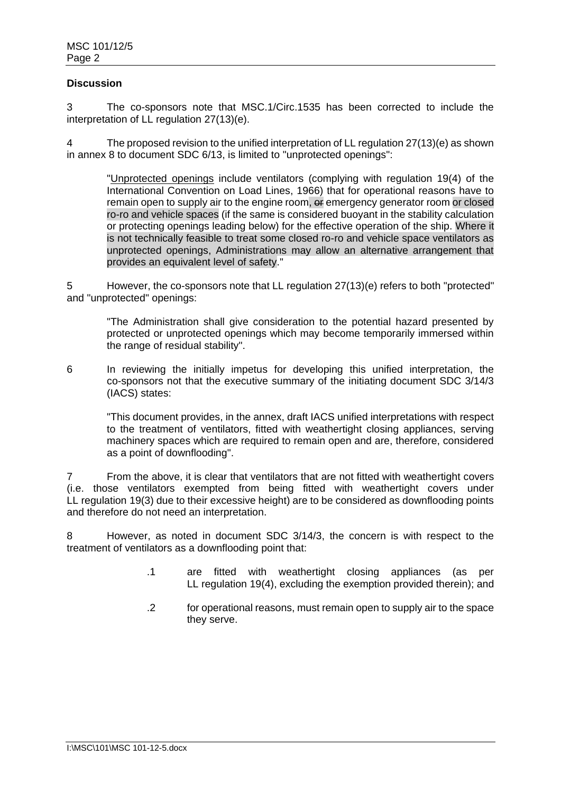#### **Discussion**

3 The co-sponsors note that MSC.1/Circ.1535 has been corrected to include the interpretation of LL regulation 27(13)(e).

4 The proposed revision to the unified interpretation of LL regulation 27(13)(e) as shown in annex 8 to document SDC 6/13, is limited to "unprotected openings":

"Unprotected openings include ventilators (complying with regulation 19(4) of the International Convention on Load Lines, 1966) that for operational reasons have to remain open to supply air to the engine room, or emergency generator room or closed ro-ro and vehicle spaces (if the same is considered buoyant in the stability calculation or protecting openings leading below) for the effective operation of the ship. Where it is not technically feasible to treat some closed ro-ro and vehicle space ventilators as unprotected openings, Administrations may allow an alternative arrangement that provides an equivalent level of safety."

5 However, the co-sponsors note that LL regulation 27(13)(e) refers to both "protected" and "unprotected" openings:

"The Administration shall give consideration to the potential hazard presented by protected or unprotected openings which may become temporarily immersed within the range of residual stability".

6 In reviewing the initially impetus for developing this unified interpretation, the co-sponsors not that the executive summary of the initiating document SDC 3/14/3 (IACS) states:

"This document provides, in the annex, draft IACS unified interpretations with respect to the treatment of ventilators, fitted with weathertight closing appliances, serving machinery spaces which are required to remain open and are, therefore, considered as a point of downflooding".

7 From the above, it is clear that ventilators that are not fitted with weathertight covers (i.e. those ventilators exempted from being fitted with weathertight covers under LL regulation 19(3) due to their excessive height) are to be considered as downflooding points and therefore do not need an interpretation.

8 However, as noted in document SDC 3/14/3, the concern is with respect to the treatment of ventilators as a downflooding point that:

- .1 are fitted with weathertight closing appliances (as per LL regulation 19(4), excluding the exemption provided therein); and
- .2 for operational reasons, must remain open to supply air to the space they serve.